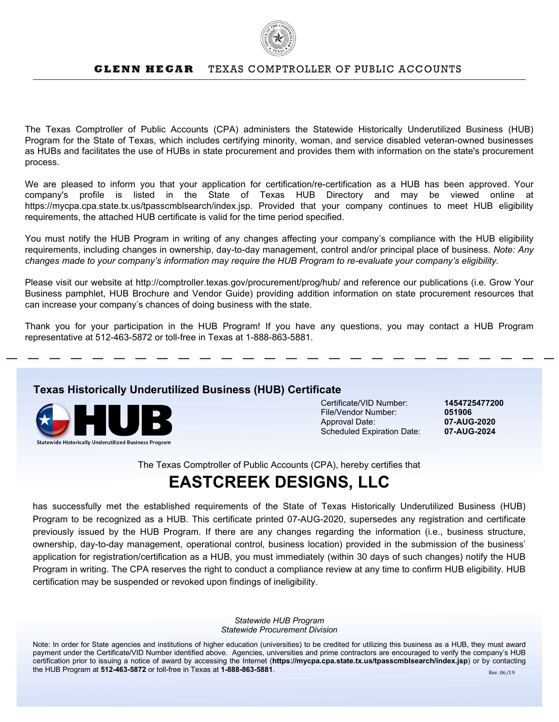

## **GLENN HEGAR** TEXAS COMPTROLLER OF PUBLIC ACCOUNTS

The Texas Comptroller of Public Accounts (CPA) administers the Statewide Historically Underutilized Business (HUB) Program for the State of Texas, which includes certifying minority, woman, and service disabled veteran-owned businesses as HUBs and facilitates the use of HUBs in state procurement and provides them with information on the state's procurement process.

We are pleased to inform you that your application for certification/re-certification as a HUB has been approved. Your company's profile is listed in the State of Texas HUB Directory and may be viewed online at https://mycpa.cpa.state.tx.us/tpasscmblsearch/index.jsp. Provided that your company continues to meet HUB eligibility requirements, the attached HUB certificate is valid for the time period specified.

You must notify the HUB Program in writing of any changes affecting your company's compliance with the HUB eligibility requirements, including changes in ownership, day-to-day management, control and/or principal place of business. *Note: Any changes made to your company's information may require the HUB Program to re-evaluate your company's eligibility.*

Please visit our website at http://comptroller.texas.gov/procurement/prog/hub/ and reference our publications (i.e. Grow Your Business pamphlet, HUB Brochure and Vendor Guide) providing addition information on state procurement resources that can increase your company's chances of doing business with the state.

Thank you for your participation in the HUB Program! If you have any questions, you may contact a HUB Program representative at 512-463-5872 or toll-free in Texas at 1-888-863-5881.

## **Texas Historically Underutilized Business (HUB) Certificate**



Certificate/VID Number: **1454725477200** File/Vendor Number: **051906** Approval Date: **07-AUG-2020** Scheduled Expiration Date:

The Texas Comptroller of Public Accounts (CPA), hereby certifies that

## **EASTCREEK DESIGNS, LLC**

has successfully met the established requirements of the State of Texas Historically Underutilized Business (HUB) Program to be recognized as a HUB. This certificate printed 07-AUG-2020, supersedes any registration and certificate previously issued by the HUB Program. If there are any changes regarding the information (i.e., business structure, ownership, day-to-day management, operational control, business location) provided in the submission of the business' application for registration/certification as a HUB, you must immediately (within 30 days of such changes) notify the HUB Program in writing. The CPA reserves the right to conduct a compliance review at any time to confirm HUB eligibility. HUB certification may be suspended or revoked upon findings of ineligibility.

> *Statewide HUB Program Statewide Procurement Division*

Note: In order for State agencies and institutions of higher education (universities) to be credited for utilizing this business as a HUB, they must award payment under the Certificate/VID Number identified above. Agencies, universities and prime contractors are encouraged to verify the company's HUB certification prior to issuing a notice of award by accessing the Internet (**https://mycpa.cpa.state.tx.us/tpasscmblsearch/index.jsp**) or by contacting the HUB Program at **512-463-5872** or toll-free in Texas at **1-888-863-5881**.